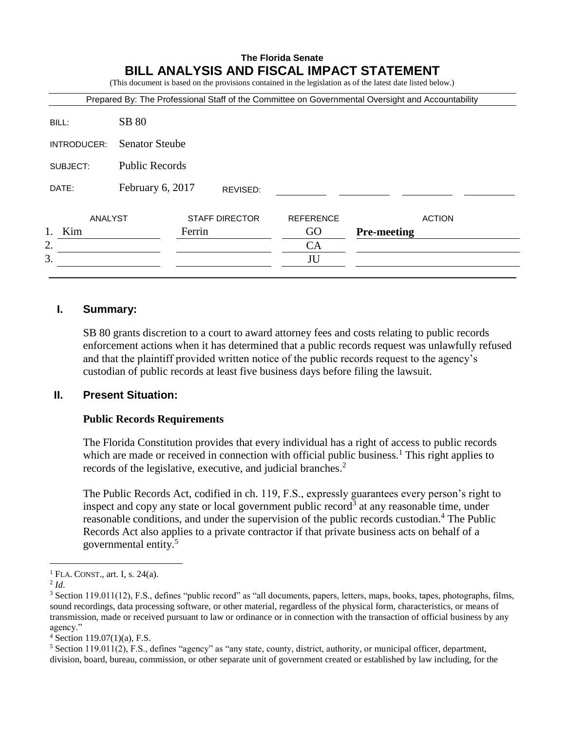# **The Florida Senate BILL ANALYSIS AND FISCAL IMPACT STATEMENT**

(This document is based on the provisions contained in the legislation as of the latest date listed below.)

| Prepared By: The Professional Staff of the Committee on Governmental Oversight and Accountability |                              |                       |  |                  |                    |
|---------------------------------------------------------------------------------------------------|------------------------------|-----------------------|--|------------------|--------------------|
| BILL:                                                                                             | <b>SB 80</b>                 |                       |  |                  |                    |
| INTRODUCER:                                                                                       | <b>Senator Steube</b>        |                       |  |                  |                    |
| SUBJECT:                                                                                          | <b>Public Records</b>        |                       |  |                  |                    |
| DATE:                                                                                             | February 6, 2017<br>REVISED: |                       |  |                  |                    |
| ANALYST                                                                                           |                              | <b>STAFF DIRECTOR</b> |  | <b>REFERENCE</b> | <b>ACTION</b>      |
| Kim                                                                                               |                              | Ferrin                |  | GO               | <b>Pre-meeting</b> |
| 2.                                                                                                |                              |                       |  | CA               |                    |
| 3.                                                                                                |                              |                       |  | JU               |                    |
|                                                                                                   |                              |                       |  |                  |                    |

#### **I. Summary:**

SB 80 grants discretion to a court to award attorney fees and costs relating to public records enforcement actions when it has determined that a public records request was unlawfully refused and that the plaintiff provided written notice of the public records request to the agency's custodian of public records at least five business days before filing the lawsuit.

#### **II. Present Situation:**

#### **Public Records Requirements**

The Florida Constitution provides that every individual has a right of access to public records which are made or received in connection with official public business.<sup>1</sup> This right applies to records of the legislative, executive, and judicial branches.<sup>2</sup>

The Public Records Act, codified in ch. 119, F.S., expressly guarantees every person's right to inspect and copy any state or local government public record<sup>3</sup> at any reasonable time, under reasonable conditions, and under the supervision of the public records custodian.<sup>4</sup> The Public Records Act also applies to a private contractor if that private business acts on behalf of a governmental entity.<sup>5</sup>

 $<sup>1</sup>$  FLA. CONST., art. I, s. 24(a).</sup>

<sup>2</sup> *Id*.

<sup>&</sup>lt;sup>3</sup> Section 119.011(12), F.S., defines "public record" as "all documents, papers, letters, maps, books, tapes, photographs, films, sound recordings, data processing software, or other material, regardless of the physical form, characteristics, or means of transmission, made or received pursuant to law or ordinance or in connection with the transaction of official business by any agency."

 $4$  Section 119.07(1)(a), F.S.

 $5$  Section 119.011(2), F.S., defines "agency" as "any state, county, district, authority, or municipal officer, department, division, board, bureau, commission, or other separate unit of government created or established by law including, for the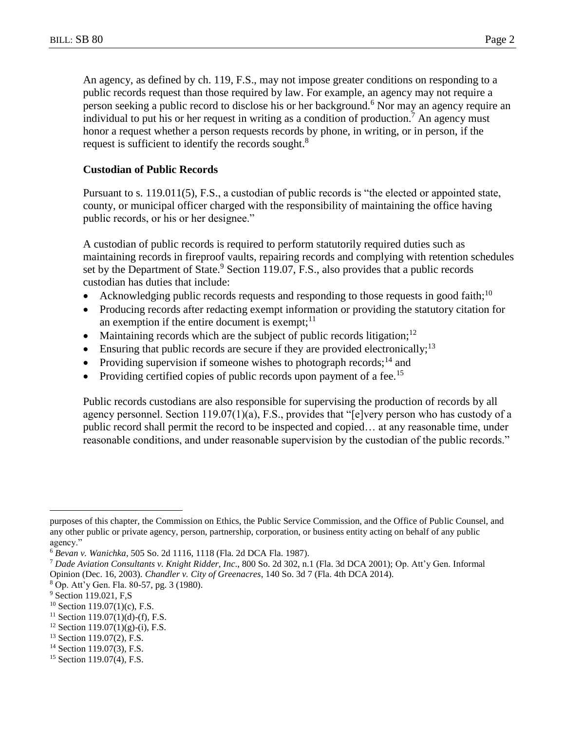An agency, as defined by ch. 119, F.S., may not impose greater conditions on responding to a public records request than those required by law. For example, an agency may not require a person seeking a public record to disclose his or her background.<sup>6</sup> Nor may an agency require an individual to put his or her request in writing as a condition of production.<sup>7</sup> An agency must honor a request whether a person requests records by phone, in writing, or in person, if the request is sufficient to identify the records sought.<sup>8</sup>

## **Custodian of Public Records**

Pursuant to s. 119.011(5), F.S., a custodian of public records is "the elected or appointed state, county, or municipal officer charged with the responsibility of maintaining the office having public records, or his or her designee."

A custodian of public records is required to perform statutorily required duties such as maintaining records in fireproof vaults, repairing records and complying with retention schedules set by the Department of State. $9$  Section 119.07, F.S., also provides that a public records custodian has duties that include:

- Acknowledging public records requests and responding to those requests in good faith;<sup>10</sup>
- Producing records after redacting exempt information or providing the statutory citation for an exemption if the entire document is exempt;  $11$
- Maintaining records which are the subject of public records litigation;<sup>12</sup>
- Ensuring that public records are secure if they are provided electronically;<sup>13</sup>
- Providing supervision if someone wishes to photograph records;<sup>14</sup> and
- Providing certified copies of public records upon payment of a fee.<sup>15</sup>

Public records custodians are also responsible for supervising the production of records by all agency personnel. Section 119.07(1)(a), F.S., provides that "[e]very person who has custody of a public record shall permit the record to be inspected and copied… at any reasonable time, under reasonable conditions, and under reasonable supervision by the custodian of the public records."

purposes of this chapter, the Commission on Ethics, the Public Service Commission, and the Office of Public Counsel, and any other public or private agency, person, partnership, corporation, or business entity acting on behalf of any public agency."

<sup>6</sup> *Bevan v. Wanichka*, 505 So. 2d 1116, 1118 (Fla. 2d DCA Fla. 1987).

<sup>7</sup> *Dade Aviation Consultants v. Knight Ridder, Inc*., 800 So. 2d 302, n.1 (Fla. 3d DCA 2001); Op. Att'y Gen. Informal Opinion (Dec. 16, 2003). *Chandler v. City of Greenacres*, 140 So. 3d 7 (Fla. 4th DCA 2014).

<sup>8</sup> Op. Att'y Gen. Fla. 80-57, pg. 3 (1980).

<sup>&</sup>lt;sup>9</sup> Section 119.021, F,S

 $10$  Section 119.07(1)(c), F.S.

 $11$  Section 119.07(1)(d)-(f), F.S.

<sup>&</sup>lt;sup>12</sup> Section 119.07(1)(g)-(i), F.S.

<sup>&</sup>lt;sup>13</sup> Section 119.07(2), F.S.

<sup>&</sup>lt;sup>14</sup> Section 119.07(3), F.S.

<sup>&</sup>lt;sup>15</sup> Section 119.07(4), F.S.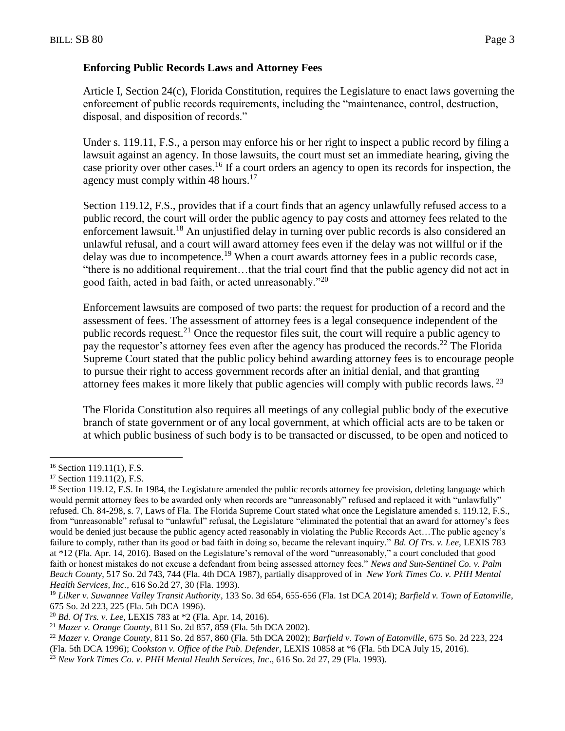#### **Enforcing Public Records Laws and Attorney Fees**

Article I, Section 24(c), Florida Constitution, requires the Legislature to enact laws governing the enforcement of public records requirements, including the "maintenance, control, destruction, disposal, and disposition of records."

Under s. 119.11, F.S., a person may enforce his or her right to inspect a public record by filing a lawsuit against an agency. In those lawsuits, the court must set an immediate hearing, giving the case priority over other cases.<sup>16</sup> If a court orders an agency to open its records for inspection, the agency must comply within 48 hours. $17$ 

Section 119.12, F.S., provides that if a court finds that an agency unlawfully refused access to a public record, the court will order the public agency to pay costs and attorney fees related to the enforcement lawsuit.<sup>18</sup> An unjustified delay in turning over public records is also considered an unlawful refusal, and a court will award attorney fees even if the delay was not willful or if the delay was due to incompetence.<sup>19</sup> When a court awards attorney fees in a public records case, "there is no additional requirement…that the trial court find that the public agency did not act in good faith, acted in bad faith, or acted unreasonably."<sup>20</sup>

Enforcement lawsuits are composed of two parts: the request for production of a record and the assessment of fees. The assessment of attorney fees is a legal consequence independent of the public records request.<sup>21</sup> Once the requestor files suit, the court will require a public agency to pay the requestor's attorney fees even after the agency has produced the records.<sup>22</sup> The Florida Supreme Court stated that the public policy behind awarding attorney fees is to encourage people to pursue their right to access government records after an initial denial, and that granting attorney fees makes it more likely that public agencies will comply with public records laws. <sup>23</sup>

The Florida Constitution also requires all meetings of any collegial public body of the executive branch of state government or of any local government, at which official acts are to be taken or at which public business of such body is to be transacted or discussed, to be open and noticed to

<sup>16</sup> Section 119.11(1), F.S.

 $17$  Section 119.11(2), F.S.

<sup>&</sup>lt;sup>18</sup> Section 119.12, F.S. In 1984, the Legislature amended the public records attorney fee provision, deleting language which would permit attorney fees to be awarded only when records are "unreasonably" refused and replaced it with "unlawfully" refused. Ch. 84-298, s. 7, Laws of Fla. The Florida Supreme Court stated what once the Legislature amended s. 119.12, F.S., from "unreasonable" refusal to "unlawful" refusal, the Legislature "eliminated the potential that an award for attorney's fees would be denied just because the public agency acted reasonably in violating the Public Records Act...The public agency's failure to comply, rather than its good or bad faith in doing so, became the relevant inquiry." *Bd. Of Trs. v. Lee,* LEXIS 783 at \*12 (Fla. Apr. 14, 2016). Based on the Legislature's removal of the word "unreasonably," a court concluded that good faith or honest mistakes do not excuse a defendant from being assessed attorney fees." *News and Sun-Sentinel Co. v. Palm Beach County*, 517 So. 2d 743, 744 (Fla. 4th DCA 1987), partially disapproved of in *New York Times Co. v. PHH Mental Health Services, Inc.*, 616 So.2d 27, 30 (Fla. 1993).

<sup>19</sup> *Lilker v. Suwannee Valley Transit Authority*, 133 So. 3d 654, 655-656 (Fla. 1st DCA 2014); *Barfield v. Town of Eatonville*, 675 So. 2d 223, 225 (Fla. 5th DCA 1996).

<sup>20</sup> *Bd. Of Trs. v. Lee,* LEXIS 783 at \*2 (Fla. Apr. 14, 2016).

<sup>21</sup> *Mazer v. Orange County*, 811 So. 2d 857, 859 (Fla. 5th DCA 2002).

<sup>22</sup> *Mazer v. Orange County*, 811 So. 2d 857, 860 (Fla. 5th DCA 2002); *Barfield v. Town of Eatonville*, 675 So. 2d 223, 224 (Fla. 5th DCA 1996); *Cookston v. Office of the Pub. Defender*, LEXIS 10858 at \*6 (Fla. 5th DCA July 15, 2016).

<sup>23</sup> *New York Times Co. v. PHH Mental Health Services, Inc*., 616 So. 2d 27, 29 (Fla. 1993).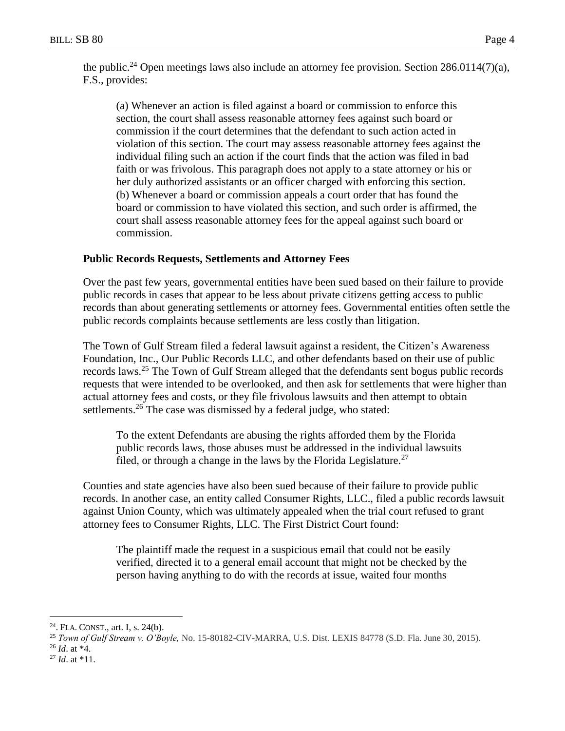the public.<sup>24</sup> Open meetings laws also include an attorney fee provision. Section 286.0114(7)(a), F.S., provides:

(a) Whenever an action is filed against a board or commission to enforce this section, the court shall assess reasonable attorney fees against such board or commission if the court determines that the defendant to such action acted in violation of this section. The court may assess reasonable attorney fees against the individual filing such an action if the court finds that the action was filed in bad faith or was frivolous. This paragraph does not apply to a state attorney or his or her duly authorized assistants or an officer charged with enforcing this section. (b) Whenever a board or commission appeals a court order that has found the board or commission to have violated this section, and such order is affirmed, the court shall assess reasonable attorney fees for the appeal against such board or commission.

## **Public Records Requests, Settlements and Attorney Fees**

Over the past few years, governmental entities have been sued based on their failure to provide public records in cases that appear to be less about private citizens getting access to public records than about generating settlements or attorney fees. Governmental entities often settle the public records complaints because settlements are less costly than litigation.

The Town of Gulf Stream filed a federal lawsuit against a resident, the Citizen's Awareness Foundation, Inc., Our Public Records LLC, and other defendants based on their use of public records laws.<sup>25</sup> The Town of Gulf Stream alleged that the defendants sent bogus public records requests that were intended to be overlooked, and then ask for settlements that were higher than actual attorney fees and costs, or they file frivolous lawsuits and then attempt to obtain settlements.<sup>26</sup> The case was dismissed by a federal judge, who stated:

To the extent Defendants are abusing the rights afforded them by the Florida public records laws, those abuses must be addressed in the individual lawsuits filed, or through a change in the laws by the Florida Legislature.<sup>27</sup>

Counties and state agencies have also been sued because of their failure to provide public records. In another case, an entity called Consumer Rights, LLC., filed a public records lawsuit against Union County, which was ultimately appealed when the trial court refused to grant attorney fees to Consumer Rights, LLC. The First District Court found:

The plaintiff made the request in a suspicious email that could not be easily verified, directed it to a general email account that might not be checked by the person having anything to do with the records at issue, waited four months

 $24$ . FLA. CONST., art. I, s. 24(b).

<sup>25</sup> *Town of Gulf Stream v. O'Boyle,* No. 15-80182-CIV-MARRA, U.S. Dist. LEXIS 84778 (S.D. Fla. June 30, 2015).

<sup>26</sup> *Id*. at \*4.

<sup>27</sup> *Id*. at \*11.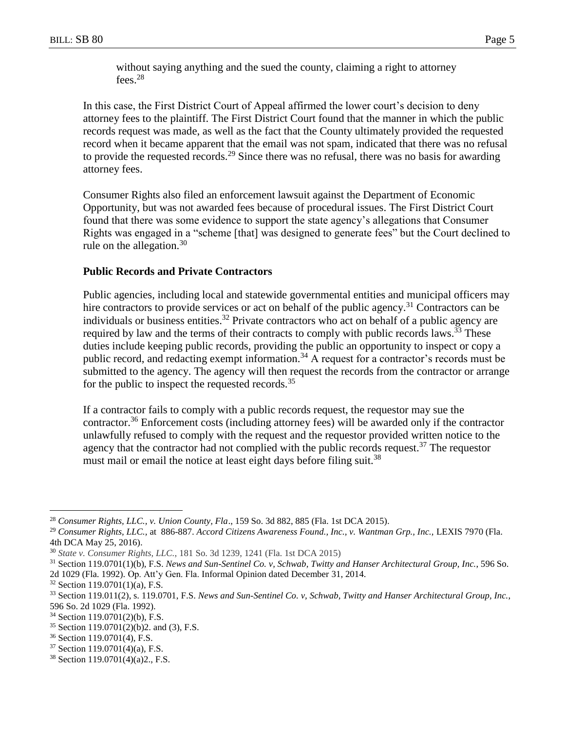without saying anything and the sued the county, claiming a right to attorney fees.<sup>28</sup>

In this case, the First District Court of Appeal affirmed the lower court's decision to deny attorney fees to the plaintiff. The First District Court found that the manner in which the public records request was made, as well as the fact that the County ultimately provided the requested record when it became apparent that the email was not spam, indicated that there was no refusal to provide the requested records.<sup>29</sup> Since there was no refusal, there was no basis for awarding attorney fees.

Consumer Rights also filed an enforcement lawsuit against the Department of Economic Opportunity, but was not awarded fees because of procedural issues. The First District Court found that there was some evidence to support the state agency's allegations that Consumer Rights was engaged in a "scheme [that] was designed to generate fees" but the Court declined to rule on the allegation.<sup>30</sup>

## **Public Records and Private Contractors**

Public agencies, including local and statewide governmental entities and municipal officers may hire contractors to provide services or act on behalf of the public agency.<sup>31</sup> Contractors can be individuals or business entities.<sup>32</sup> Private contractors who act on behalf of a public agency are required by law and the terms of their contracts to comply with public records laws.<sup>33</sup> These duties include keeping public records, providing the public an opportunity to inspect or copy a public record, and redacting exempt information.<sup>34</sup> A request for a contractor's records must be submitted to the agency. The agency will then request the records from the contractor or arrange for the public to inspect the requested records.<sup>35</sup>

If a contractor fails to comply with a public records request, the requestor may sue the contractor.<sup>36</sup> Enforcement costs (including attorney fees) will be awarded only if the contractor unlawfully refused to comply with the request and the requestor provided written notice to the agency that the contractor had not complied with the public records request.<sup>37</sup> The requestor must mail or email the notice at least eight days before filing suit.<sup>38</sup>

<sup>28</sup> *Consumer Rights, LLC., v. Union County, Fla*., 159 So. 3d 882, 885 (Fla. 1st DCA 2015).

<sup>29</sup> *Consumer Rights, LLC.,* at 886-887. *Accord Citizens Awareness Found., Inc., v. Wantman Grp., Inc.,* LEXIS 7970 (Fla. 4th DCA May 25, 2016).

<sup>30</sup> *State v. Consumer Rights, LLC.*, 181 So. 3d 1239, 1241 (Fla. 1st DCA 2015)

<sup>31</sup> Section 119.0701(1)(b), F.S. *News and Sun-Sentinel Co. v, Schwab, Twitty and Hanser Architectural Group, Inc.*, 596 So. 2d 1029 (Fla. 1992). Op. Att'y Gen. Fla. Informal Opinion dated December 31, 2014.

 $32$  Section 119.0701(1)(a), F.S.

<sup>33</sup> Section 119.011(2), s. 119.0701, F.S. *News and Sun-Sentinel Co. v, Schwab, Twitty and Hanser Architectural Group, Inc.*, 596 So. 2d 1029 (Fla. 1992).

<sup>34</sup> Section 119.0701(2)(b), F.S.

 $35$  Section 119.0701(2)(b)2. and (3), F.S.

<sup>36</sup> Section 119.0701(4), F.S.

 $37$  Section 119.0701(4)(a), F.S.

<sup>38</sup> Section 119.0701(4)(a)2., F.S.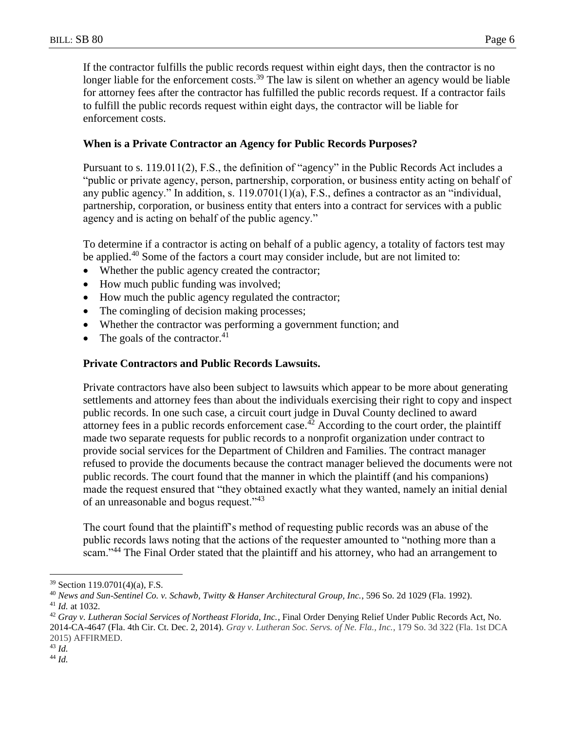If the contractor fulfills the public records request within eight days, then the contractor is no longer liable for the enforcement costs.<sup>39</sup> The law is silent on whether an agency would be liable for attorney fees after the contractor has fulfilled the public records request. If a contractor fails to fulfill the public records request within eight days, the contractor will be liable for enforcement costs.

# **When is a Private Contractor an Agency for Public Records Purposes?**

Pursuant to s. 119.011(2), F.S., the definition of "agency" in the Public Records Act includes a "public or private agency, person, partnership, corporation, or business entity acting on behalf of any public agency." In addition, s. 119.0701(1)(a), F.S., defines a contractor as an "individual, partnership, corporation, or business entity that enters into a contract for services with a public agency and is acting on behalf of the public agency."

To determine if a contractor is acting on behalf of a public agency, a totality of factors test may be applied.<sup>40</sup> Some of the factors a court may consider include, but are not limited to:

- Whether the public agency created the contractor;
- How much public funding was involved;
- How much the public agency regulated the contractor;
- The comingling of decision making processes;
- Whether the contractor was performing a government function; and
- The goals of the contractor. $41$

# **Private Contractors and Public Records Lawsuits.**

Private contractors have also been subject to lawsuits which appear to be more about generating settlements and attorney fees than about the individuals exercising their right to copy and inspect public records. In one such case, a circuit court judge in Duval County declined to award attorney fees in a public records enforcement case.<sup>42</sup> According to the court order, the plaintiff made two separate requests for public records to a nonprofit organization under contract to provide social services for the Department of Children and Families. The contract manager refused to provide the documents because the contract manager believed the documents were not public records. The court found that the manner in which the plaintiff (and his companions) made the request ensured that "they obtained exactly what they wanted, namely an initial denial of an unreasonable and bogus request."<sup>43</sup>

The court found that the plaintiff's method of requesting public records was an abuse of the public records laws noting that the actions of the requester amounted to "nothing more than a scam."<sup>44</sup> The Final Order stated that the plaintiff and his attorney, who had an arrangement to

<sup>39</sup> Section 119.0701(4)(a), F.S.

<sup>40</sup> *News and Sun-Sentinel Co. v. Schawb, Twitty & Hanser Architectural Group, Inc.*, 596 So. 2d 1029 (Fla. 1992). <sup>41</sup> *Id.* at 1032.

<sup>42</sup> *Gray v. Lutheran Social Services of Northeast Florida, Inc.*, Final Order Denying Relief Under Public Records Act, No. 2014-CA-4647 (Fla. 4th Cir. Ct. Dec. 2, 2014). *Gray v. Lutheran Soc. Servs. of Ne. Fla., Inc.*, 179 So. 3d 322 (Fla. 1st DCA 2015) AFFIRMED.

<sup>43</sup> *Id.*

<sup>44</sup> *Id.*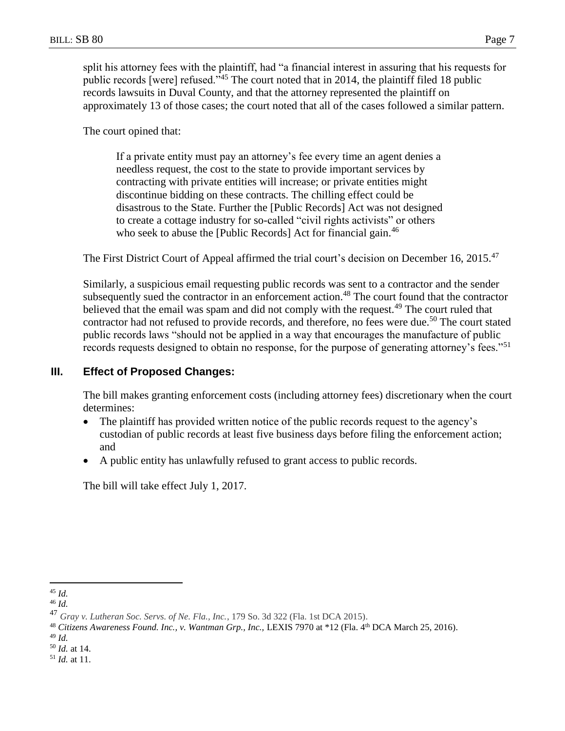split his attorney fees with the plaintiff, had "a financial interest in assuring that his requests for public records [were] refused."<sup>45</sup> The court noted that in 2014, the plaintiff filed 18 public records lawsuits in Duval County, and that the attorney represented the plaintiff on approximately 13 of those cases; the court noted that all of the cases followed a similar pattern.

The court opined that:

If a private entity must pay an attorney's fee every time an agent denies a needless request, the cost to the state to provide important services by contracting with private entities will increase; or private entities might discontinue bidding on these contracts. The chilling effect could be disastrous to the State. Further the [Public Records] Act was not designed to create a cottage industry for so-called "civil rights activists" or others who seek to abuse the [Public Records] Act for financial gain.<sup>46</sup>

The First District Court of Appeal affirmed the trial court's decision on December 16, 2015.<sup>47</sup>

Similarly, a suspicious email requesting public records was sent to a contractor and the sender subsequently sued the contractor in an enforcement action.<sup>48</sup> The court found that the contractor believed that the email was spam and did not comply with the request.<sup>49</sup> The court ruled that contractor had not refused to provide records, and therefore, no fees were due.<sup>50</sup> The court stated public records laws "should not be applied in a way that encourages the manufacture of public records requests designed to obtain no response, for the purpose of generating attorney's fees."<sup>51</sup>

# **III. Effect of Proposed Changes:**

The bill makes granting enforcement costs (including attorney fees) discretionary when the court determines:

- The plaintiff has provided written notice of the public records request to the agency's custodian of public records at least five business days before filing the enforcement action; and
- A public entity has unlawfully refused to grant access to public records.

The bill will take effect July 1, 2017.

 $\overline{a}$ <sup>45</sup> *Id.*

<sup>46</sup> *Id.*

<sup>47</sup> *Gray v. Lutheran Soc. Servs. of Ne. Fla., Inc.*, 179 So. 3d 322 (Fla. 1st DCA 2015).

<sup>48</sup> *Citizens Awareness Found. Inc., v. Wantman Grp., Inc.,* LEXIS 7970 at \*12 (Fla. 4th DCA March 25, 2016).

<sup>49</sup> *Id.*

<sup>50</sup> *Id.* at 14.

<sup>51</sup> *Id.* at 11.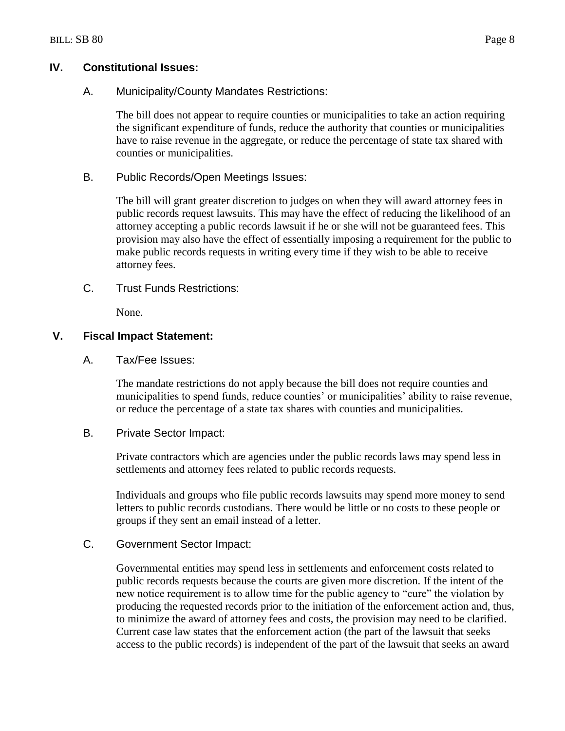# **IV. Constitutional Issues:**

A. Municipality/County Mandates Restrictions:

The bill does not appear to require counties or municipalities to take an action requiring the significant expenditure of funds, reduce the authority that counties or municipalities have to raise revenue in the aggregate, or reduce the percentage of state tax shared with counties or municipalities.

B. Public Records/Open Meetings Issues:

The bill will grant greater discretion to judges on when they will award attorney fees in public records request lawsuits. This may have the effect of reducing the likelihood of an attorney accepting a public records lawsuit if he or she will not be guaranteed fees. This provision may also have the effect of essentially imposing a requirement for the public to make public records requests in writing every time if they wish to be able to receive attorney fees.

C. Trust Funds Restrictions:

None.

# **V. Fiscal Impact Statement:**

A. Tax/Fee Issues:

The mandate restrictions do not apply because the bill does not require counties and municipalities to spend funds, reduce counties' or municipalities' ability to raise revenue, or reduce the percentage of a state tax shares with counties and municipalities.

## B. Private Sector Impact:

Private contractors which are agencies under the public records laws may spend less in settlements and attorney fees related to public records requests.

Individuals and groups who file public records lawsuits may spend more money to send letters to public records custodians. There would be little or no costs to these people or groups if they sent an email instead of a letter.

## C. Government Sector Impact:

Governmental entities may spend less in settlements and enforcement costs related to public records requests because the courts are given more discretion. If the intent of the new notice requirement is to allow time for the public agency to "cure" the violation by producing the requested records prior to the initiation of the enforcement action and, thus, to minimize the award of attorney fees and costs, the provision may need to be clarified. Current case law states that the enforcement action (the part of the lawsuit that seeks access to the public records) is independent of the part of the lawsuit that seeks an award